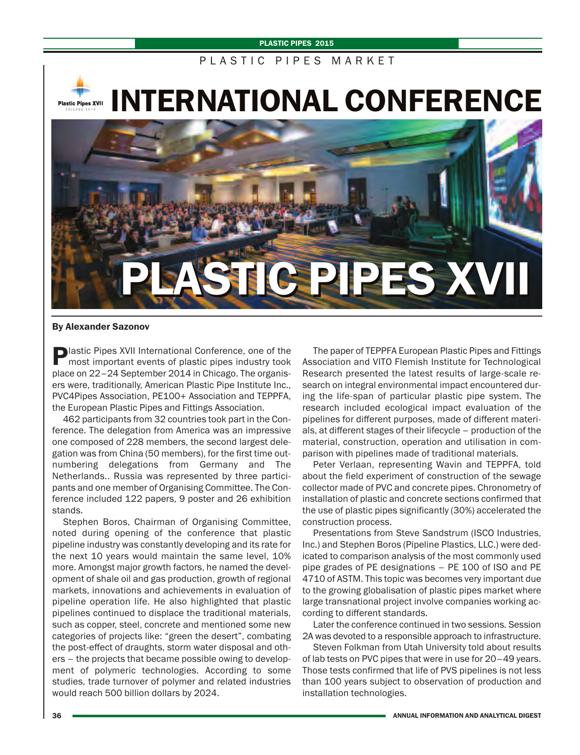#### **PLASTIC PIPES 2015**

# PLASTIC PIPES MARKET

**Plastic Pipes XVII** 

**INTERNATIONAL CONFERENCE**



### **By Alexander Sazonov**

**Plastic Pipes XVII International Conference, one of the** most important events of plastic pipes industry took place on 22–24 September 2014 in Chicago. The organisers were, traditionally, American Plastic Pipe Institute Inc., PVC4Pipes Association, PE100+ Association and TEPPFA, the European Plastic Pipes and Fittings Association.

462 participants from 32 countries took part in the Conference. The delegation from America was an impressive one composed of 228 members, the second largest delegation was from China (50 members), for the first time outnumbering delegations from Germany and The Netherlands.. Russia was represented by three participants and one member of Organising Committee. The Conference included 122 papers, 9 poster and 26 exhibition stands.

Stephen Boros, Chairman of Organising Committee, noted during opening of the conference that plastic pipeline industry was constantly developing and its rate for the next 10 years would maintain the same level, 10% more. Amongst major growth factors, he named the development of shale oil and gas production, growth of regional markets, innovations and achievements in evaluation of pipeline operation life. He also highlighted that plastic pipelines continued to displace the traditional materials, such as copper, steel, concrete and mentioned some new categories of projects like: "green the desert", combating the post-effect of draughts, storm water disposal and others – the projects that became possible owing to development of polymeric technologies. According to some studies, trade turnover of polymer and related industries would reach 500 billion dollars by 2024.

The paper of TEPPFA European Plastic Pipes and Fittings Association and VITO Flemish Institute for Technological Research presented the latest results of large-scale research on integral environmental impact encountered during the life-span of particular plastic pipe system. The research included ecological impact evaluation of the pipelines for different purposes, made of different materials, at different stages of their lifecycle – production of the material, construction, operation and utilisation in comparison with pipelines made of traditional materials.

Peter Verlaan, representing Wavin and TEPPFA, told about the field experiment of construction of the sewage collector made of PVC and concrete pipes. Chronometry of installation of plastic and concrete sections confirmed that the use of plastic pipes significantly (30%) accelerated the construction process.

Presentations from Steve Sandstrum (ISCO Industries, Inc.) and Stephen Boros (Pipeline Plastics, LLC.) were dedicated to comparison analysis of the most commonly used pipe grades of PE designations – PE 100 of ISO and РЕ 4710 of ASTM. This topic was becomes very important due to the growing globalisation of plastic pipes market where large transnational project involve companies working according to different standards.

Later the conference continued in two sessions. Session 2A was devoted to a responsible approach to infrastructure.

Steven Folkman from Utah University told about results of lab tests on PVC pipes that were in use for 20–49 years. Those tests confirmed that life of PVS pipelines is not less than 100 years subject to observation of production and installation technologies.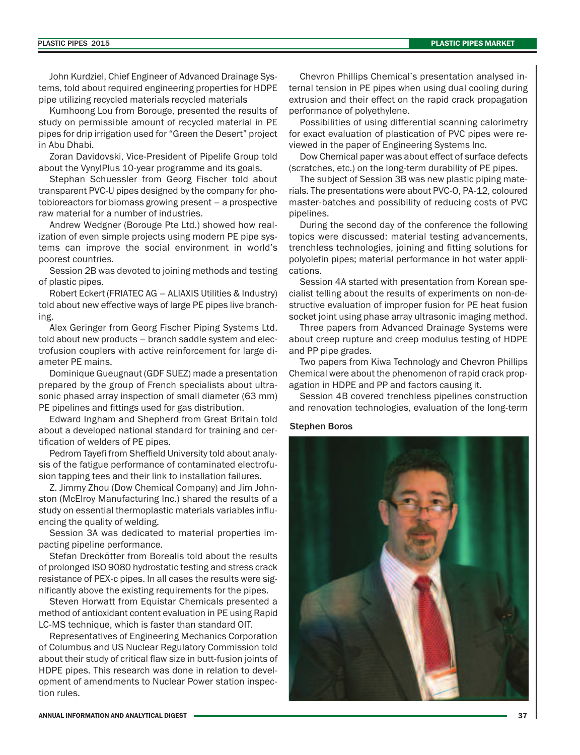John Kurdziel, Chief Engineer of Advanced Drainage Systems, told about required engineering properties for HDPE pipe utilizing recycled materials recycled materials

Kumhoong Lou from Borouge, presented the results of study on permissible amount of recycled material in PE pipes for drip irrigation used for "Green the Desert" project in Abu Dhabi.

Zoran Davidovski, Vice-President of Pipelife Group told about the VynylPlus 10-year programme and its goals.

Stephan Schuessler from Georg Fischer told about transparent PVC-U pipes designed by the company for photobioreactors for biomass growing present – a prospective raw material for a number of industries.

Andrew Wedgner (Borouge Pte Ltd.) showed how realization of even simple projects using modern PE pipe systems can improve the social environment in world's poorest countries.

Session 2B was devoted to joining methods and testing of plastic pipes.

Robert Eckert (FRIATEC AG – ALIAXIS Utilities & Industry) told about new effective ways of large PE pipes live branching.

Alex Geringer from Georg Fischer Piping Systems Ltd. told about new products – branch saddle system and electrofusion couplers with active reinforcement for large diameter PE mains.

Dominique Gueugnaut (GDF SUEZ) made a presentation prepared by the group of French specialists about ultrasonic phased array inspection of small diameter (63 mm) PE pipelines and fittings used for gas distribution.

Edward Ingham and Shepherd from Great Britain told about a developed national standard for training and certification of welders of PE pipes.

Pedrom Tayefi from Sheffield University told about analysis of the fatigue performance of contaminated electrofusion tapping tees and their link to installation failures.

Z. Jimmy Zhou (Dow Chemical Company) and Jim Johnston (McElroy Manufacturing Inc.) shared the results of a study on essential thermoplastic materials variables influencing the quality of welding.

Session 3A was dedicated to material properties impacting pipeline performance.

Stefan Dreckötter from Borealis told about the results of prolonged ISO 9080 hydrostatic testing and stress crack resistance of PEX-c pipes. In all cases the results were significantly above the existing requirements for the pipes.

Steven Horwatt from Equistar Chemicals presented a method of antioxidant content evaluation in PE using Rapid LC-MS technique, which is faster than standard OIT.

Representatives of Engineering Mechanics Corporation of Columbus and US Nuclear Regulatory Commission told about their study of critical flaw size in butt-fusion joints of HDPE pipes. This research was done in relation to development of amendments to Nuclear Power station inspection rules.

Chevron Phillips Chemical's presentation analysed internal tension in PE pipes when using dual cooling during extrusion and their effect on the rapid crack propagation performance of polyethylene.

Possibilities of using differential scanning calorimetry for exact evaluation of plastication of PVC pipes were reviewed in the paper of Engineering Systems Inc.

Dow Chemical paper was about effect of surface defects (scratches, etc.) on the long-term durability of PE pipes.

The subject of Session 3B was new plastic piping materials. The presentations were about PVC-O, PA-12, coloured master-batches and possibility of reducing costs of PVC pipelines.

During the second day of the conference the following topics were discussed: material testing advancements, trenchless technologies, joining and fitting solutions for polyolefin pipes; material performance in hot water applications.

Session 4A started with presentation from Korean specialist telling about the results of experiments on non-destructive evaluation of improper fusion for PE heat fusion socket joint using phase array ultrasonic imaging method.

Three papers from Advanced Drainage Systems were about creep rupture and creep modulus testing of HDPE and PP pipe grades.

Two papers from Kiwa Technology and Chevron Phillips Chemical were about the phenomenon of rapid crack propagation in HDPE and PP and factors causing it.

Session 4B covered trenchless pipelines construction and renovation technologies, evaluation of the long-term

### Stephen Boros

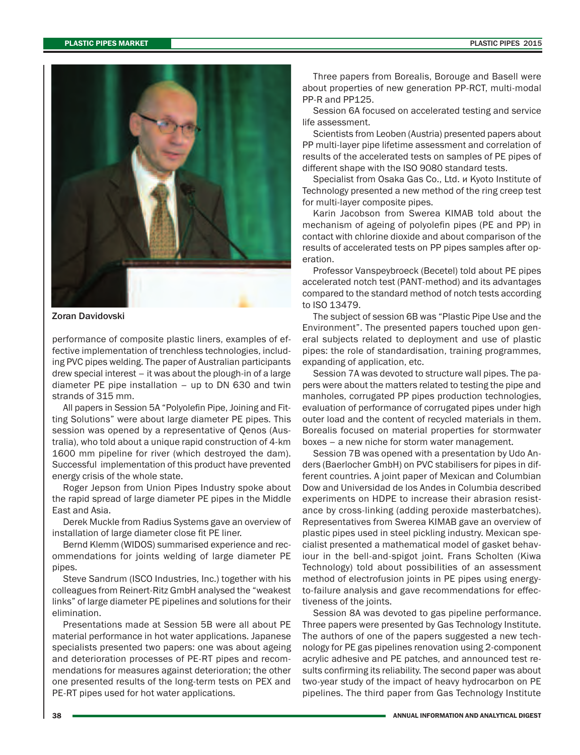

#### Zoran Davidovski

performance of composite plastic liners, examples of effective implementation of trenchless technologies, including PVC pipes welding. The paper of Australian participants drew special interest – it was about the plough-in of a large diameter PE pipe installation – up to DN 630 and twin strands of 315 mm.

All papers in Session 5A "Polyolefin Pipe, Joining and Fitting Solutions" were about large diameter PE pipes. This session was opened by a representative of Qenos (Australia), who told about a unique rapid construction of 4-km 1600 mm pipeline for river (which destroyed the dam). Successful implementation of this product have prevented energy crisis of the whole state.

Roger Jepson from Union Pipes Industry spoke about the rapid spread of large diameter PE pipes in the Middle East and Asia.

Derek Muckle from Radius Systems gave an overview of installation of large diameter close fit PE liner.

Bernd Klemm (WIDOS) summarised experience and recommendations for joints welding of large diameter PE pipes.

Steve Sandrum (ISCO Industries, Inc.) together with his colleagues from Reinert-Ritz GmbH analysed the "weakest links" of large diameter PE pipelines and solutions for their elimination.

Presentations made at Session 5B were all about PE material performance in hot water applications. Japanese specialists presented two papers: one was about ageing and deterioration processes of PE-RT pipes and recommendations for measures against deterioration; the other one presented results of the long-term tests on PEX and PE-RT pipes used for hot water applications.

Three papers from Borealis, Borouge and Basell were about properties of new generation PP-RCT, multi-modal PP-R and PP125.

Session 6A focused on accelerated testing and service life assessment.

Scientists from Leoben (Austria) presented papers about PP multi-layer pipe lifetime assessment and correlation of results of the accelerated tests on samples of PE pipes of different shape with the ISO 9080 standard tests.

Specialist from Osaka Gas Co., Ltd. и Kyoto Institute of Technology presented a new method of the ring creep test for multi-layer composite pipes.

Karin Jacobson from Swerea KIMAB told about the mechanism of ageing of polyolefin pipes (PE and PP) in contact with chlorine dioxide and about comparison of the results of accelerated tests on PP pipes samples after operation.

Professor Vanspeybroeck (Becetel) told about PE pipes accelerated notch test (PANT-method) and its advantages compared to the standard method of notch tests according to ISO 13479.

The subject of session 6B was "Plastic Pipe Use and the Environment". The presented papers touched upon general subjects related to deployment and use of plastic pipes: the role of standardisation, training programmes, expanding of application, etc.

Session 7A was devoted to structure wall pipes. The papers were about the matters related to testing the pipe and manholes, corrugated PP pipes production technologies, evaluation of performance of corrugated pipes under high outer load and the content of recycled materials in them. Borealis focused on material properties for stormwater boxes – a new niche for storm water management.

Session 7B was opened with a presentation by Udo Anders (Baerlocher GmbH) on PVC stabilisers for pipes in different countries. A joint paper of Mexican and Columbian Dow and Universidad de los Andes in Columbia described experiments on HDPE to increase their abrasion resistance by cross-linking (adding peroxide masterbatches). Representatives from Swerea KIMAB gave an overview of plastic pipes used in steel pickling industry. Mexican specialist presented a mathematical model of gasket behaviour in the bell-and-spigot joint. Frans Scholten (Kiwa Technology) told about possibilities of an assessment method of electrofusion joints in PE pipes using energyto-failure analysis and gave recommendations for effectiveness of the joints.

Session 8A was devoted to gas pipeline performance. Three papers were presented by Gas Technology Institute. The authors of one of the papers suggested a new technology for PE gas pipelines renovation using 2-component acrylic adhesive and PE patches, and announced test results confirming its reliability. The second paper was about two-year study of the impact of heavy hydrocarbon on PE pipelines. The third paper from Gas Technology Institute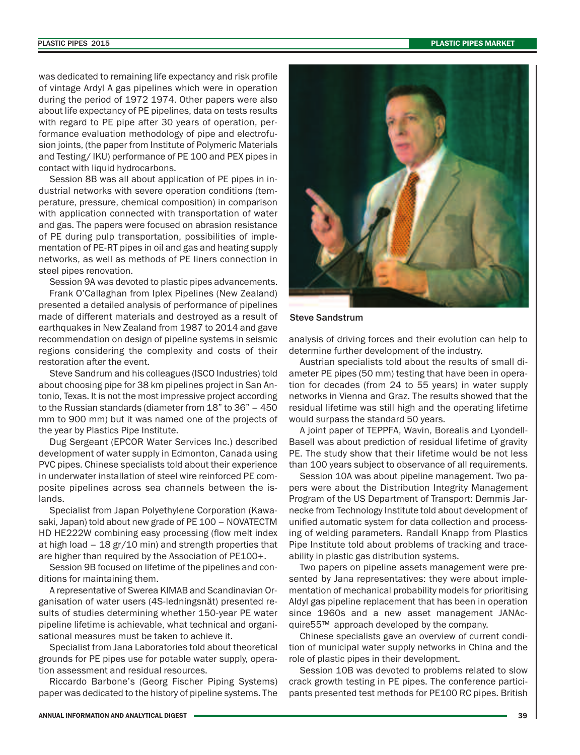was dedicated to remaining life expectancy and risk profile of vintage Ardyl A gas pipelines which were in operation during the period of 1972 1974. Other papers were also about life expectancy of PE pipelines, data on tests results with regard to PE pipe after 30 years of operation, performance evaluation methodology of pipe and electrofusion joints, (the paper from Institute of Polymeric Materials and Testing/ IKU) performance of PE 100 and PEX pipes in contact with liquid hydrocarbons.

Session 8B was all about application of PE pipes in industrial networks with severe operation conditions (temperature, pressure, chemical composition) in comparison with application connected with transportation of water and gas. The papers were focused on abrasion resistance of PE during pulp transportation, possibilities of implementation of PE-RT pipes in oil and gas and heating supply networks, as well as methods of PE liners connection in steel pipes renovation.

Session 9A was devoted to plastic pipes advancements. Frank O'Callaghan from Iplex Pipelines (New Zealand) presented a detailed analysis of performance of pipelines made of different materials and destroyed as a result of earthquakes in New Zealand from 1987 to 2014 and gave recommendation on design of pipeline systems in seismic regions considering the complexity and costs of their restoration after the event.

Steve Sandrum and his colleagues (ISCO Industries) told about choosing pipe for 38 km pipelines project in San Antonio, Texas. It is not the most impressive project according to the Russian standards (diameter from 18" to 36" – 450 mm to 900 mm) but it was named one of the projects of the year by Plastics Pipe Institute.

Dug Sergeant (EPCOR Water Services Inc.) described development of water supply in Edmonton, Canada using PVC pipes. Chinese specialists told about their experience in underwater installation of steel wire reinforced PE composite pipelines across sea channels between the islands.

Specialist from Japan Polyethylene Corporation (Kawasaki, Japan) told about new grade of PE 100 – NOVATECTM HD HE222W combining easy processing (flow melt index at high load – 18 gr/10 min) and strength properties that are higher than required by the Association of РЕ100+.

Session 9B focused on lifetime of the pipelines and conditions for maintaining them.

A representative of Swerea KIMAB and Scandinavian Organisation of water users (4S-ledningsnät) presented results of studies determining whether 150-year PE water pipeline lifetime is achievable, what technical and organisational measures must be taken to achieve it.

Specialist from Jana Laboratories told about theoretical grounds for PE pipes use for potable water supply, operation assessment and residual resources.

Riccardo Barbone's (Georg Fischer Piping Systems) paper was dedicated to the history of pipeline systems. The



Steve Sandstrum

analysis of driving forces and their evolution can help to determine further development of the industry.

Austrian specialists told about the results of small diameter PE pipes (50 mm) testing that have been in operation for decades (from 24 to 55 years) in water supply networks in Vienna and Graz. The results showed that the residual lifetime was still high and the operating lifetime would surpass the standard 50 years.

A joint paper of TEPPFA, Wavin, Borealis and Lyondell-Basell was about prediction of residual lifetime of gravity PE. The study show that their lifetime would be not less than 100 years subject to observance of all requirements.

Session 10A was about pipeline management. Two papers were about the Distribution Integrity Management Program of the US Department of Transport: Demmis Jarnecke from Technology Institute told about development of unified automatic system for data collection and processing of welding parameters. Randall Knapp from Plastics Pipe Institute told about problems of tracking and traceability in plastic gas distribution systems.

Two papers on pipeline assets management were presented by Jana representatives: they were about implementation of mechanical probability models for prioritising Aldyl gas pipeline replacement that has been in operation since 1960s and a new asset management JANAcquire55™ approach developed by the company.

Chinese specialists gave an overview of current condition of municipal water supply networks in China and the role of plastic pipes in their development.

Session 10B was devoted to problems related to slow crack growth testing in PE pipes. The conference participants presented test methods for PE100 RC pipes. British